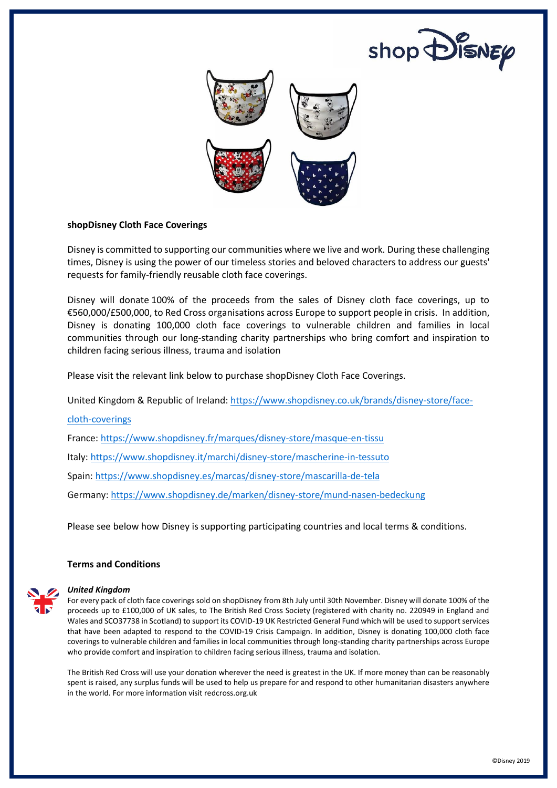



# **shopDisney Cloth Face Coverings**

Disney is committed to supporting our communities where we live and work. During these challenging times, Disney is using the power of our timeless stories and beloved characters to address our guests' requests for family-friendly reusable cloth face coverings.

Disney will donate 100% of the proceeds from the sales of Disney cloth face coverings, up to €560,000/£500,000, to Red Cross organisations across Europe to support people in crisis. In addition, Disney is donating 100,000 cloth face coverings to vulnerable children and families in local communities through our long-standing charity partnerships who bring comfort and inspiration to children facing serious illness, trauma and isolation

Please visit the relevant link below to purchase shopDisney Cloth Face Coverings.

United Kingdom & Republic of Ireland: [https://www.shopdisney.co.uk/brands/disney-store/face-](https://nam04.safelinks.protection.outlook.com/?url=https%3A%2F%2Fwww.shopdisney.co.uk%2Fbrands%2Fdisney-store%2Fface-cloth-coverings&data=02%7C01%7CGrace.X.Branch.-ND%40disney.com%7Cb508aafc7f3e47a3029c08d82189e0d7%7C56b731a8a2ac4c32bf6b616810e913c6%7C1%7C0%7C637296224108475263&sdata=aEJSyyyiqXXrZEBUQ%2BMmrIoOxKHDaTAkzjhJC9CCxV0%3D&reserved=0)

### [cloth-coverings](https://nam04.safelinks.protection.outlook.com/?url=https%3A%2F%2Fwww.shopdisney.co.uk%2Fbrands%2Fdisney-store%2Fface-cloth-coverings&data=02%7C01%7CGrace.X.Branch.-ND%40disney.com%7Cb508aafc7f3e47a3029c08d82189e0d7%7C56b731a8a2ac4c32bf6b616810e913c6%7C1%7C0%7C637296224108475263&sdata=aEJSyyyiqXXrZEBUQ%2BMmrIoOxKHDaTAkzjhJC9CCxV0%3D&reserved=0)

France: [https://www.shopdisney.fr/marques/disney-store/masque-en-tissu](https://nam04.safelinks.protection.outlook.com/?url=https%3A%2F%2Fwww.shopdisney.fr%2Fmarques%2Fdisney-store%2Fmasque-en-tissu&data=02%7C01%7CGrace.X.Branch.-ND%40disney.com%7Cb508aafc7f3e47a3029c08d82189e0d7%7C56b731a8a2ac4c32bf6b616810e913c6%7C1%7C0%7C637296224108475263&sdata=2KX7ErO8N9AlU%2Fu%2BK2lAcXYMKkvQBzhGbwR0Ns5hVqk%3D&reserved=0)

Italy[: https://www.shopdisney.it/marchi/disney-store/mascherine-in-tessuto](https://nam04.safelinks.protection.outlook.com/?url=https%3A%2F%2Fwww.shopdisney.it%2Fmarchi%2Fdisney-store%2Fmascherine-in-tessuto&data=02%7C01%7CGrace.X.Branch.-ND%40disney.com%7Cb508aafc7f3e47a3029c08d82189e0d7%7C56b731a8a2ac4c32bf6b616810e913c6%7C1%7C0%7C637296224108495255&sdata=lVCn%2FFw9MaNMPQVQ561%2FotK6vrijUnkozvu6GzhXFNM%3D&reserved=0)

Spain: [https://www.shopdisney.es/marcas/disney-store/mascarilla-de-tela](https://nam04.safelinks.protection.outlook.com/?url=https%3A%2F%2Fwww.shopdisney.es%2Fmarcas%2Fdisney-store%2Fmascarilla-de-tela&data=02%7C01%7CGrace.X.Branch.-ND%40disney.com%7Cb508aafc7f3e47a3029c08d82189e0d7%7C56b731a8a2ac4c32bf6b616810e913c6%7C1%7C0%7C637296224108485261&sdata=Y2nAoDOdcfyJpeOnkZ3eqRkuUKStx%2FRG57DJX5qBvBk%3D&reserved=0)

Germany[: https://www.shopdisney.de/marken/disney-store/mund-nasen-bedeckung](https://nam04.safelinks.protection.outlook.com/?url=https%3A%2F%2Fwww.shopdisney.de%2Fmarken%2Fdisney-store%2Fmund-nasen-bedeckung&data=02%7C01%7CGrace.X.Branch.-ND%40disney.com%7Cb508aafc7f3e47a3029c08d82189e0d7%7C56b731a8a2ac4c32bf6b616810e913c6%7C1%7C0%7C637296224108485261&sdata=pMfw%2BIyJPWUfRgf8xzgD1jeb%2BuHk%2BWlFgFCfYWZgVv0%3D&reserved=0)

Please see below how Disney is supporting participating countries and local terms & conditions.

## **Terms and Conditions**



#### *United Kingdom*

For every pack of cloth face coverings sold on shopDisney from 8th July until 30th November. Disney will donate 100% of the proceeds up to £100,000 of UK sales, to The British Red Cross Society (registered with charity no. 220949 in England and Wales and SCO37738 in Scotland) to support its COVID-19 UK Restricted General Fund which will be used to support services that have been adapted to respond to the COVID-19 Crisis Campaign. In addition, Disney is donating 100,000 cloth face coverings to vulnerable children and families in local communities through long-standing charity partnerships across Europe who provide comfort and inspiration to children facing serious illness, trauma and isolation.

The British Red Cross will use your donation wherever the need is greatest in the UK. If more money than can be reasonably spent is raised, any surplus funds will be used to help us prepare for and respond to other humanitarian disasters anywhere in the world. For more information visit redcross.org.uk